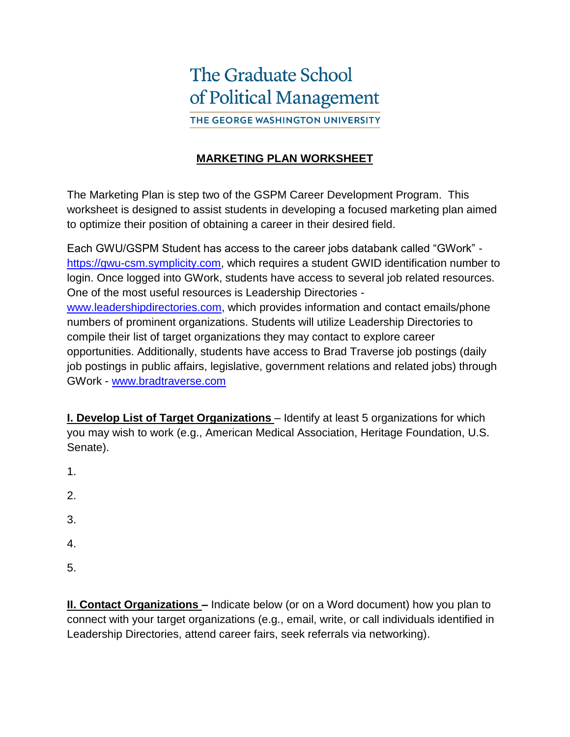## **The Graduate School** of Political Management

THE GEORGE WASHINGTON UNIVERSITY

## **MARKETING PLAN WORKSHEET**

The Marketing Plan is step two of the GSPM Career Development Program. This worksheet is designed to assist students in developing a focused marketing plan aimed to optimize their position of obtaining a career in their desired field.

Each GWU/GSPM Student has access to the career jobs databank called "GWork" [https://gwu-csm.symplicity.com,](https://gwu-csm.symplicity.com/) which requires a student GWID identification number to login. Once logged into GWork, students have access to several job related resources. One of the most useful resources is Leadership Directories [www.leadershipdirectories.com,](http://www.leadershipdirectories.com/) which provides information and contact emails/phone numbers of prominent organizations. Students will utilize Leadership Directories to compile their list of target organizations they may contact to explore career opportunities. Additionally, students have access to Brad Traverse job postings (daily job postings in public affairs, legislative, government relations and related jobs) through GWork - [www.bradtraverse.com](http://www.bradtraverse.com/)

**I. Develop List of Target Organizations** – Identify at least 5 organizations for which you may wish to work (e.g., American Medical Association, Heritage Foundation, U.S. Senate).

- 1.
- 2.
- 
- 3.
- 4.
- 5.

**II. Contact Organizations –** Indicate below (or on a Word document) how you plan to connect with your target organizations (e.g., email, write, or call individuals identified in Leadership Directories, attend career fairs, seek referrals via networking).